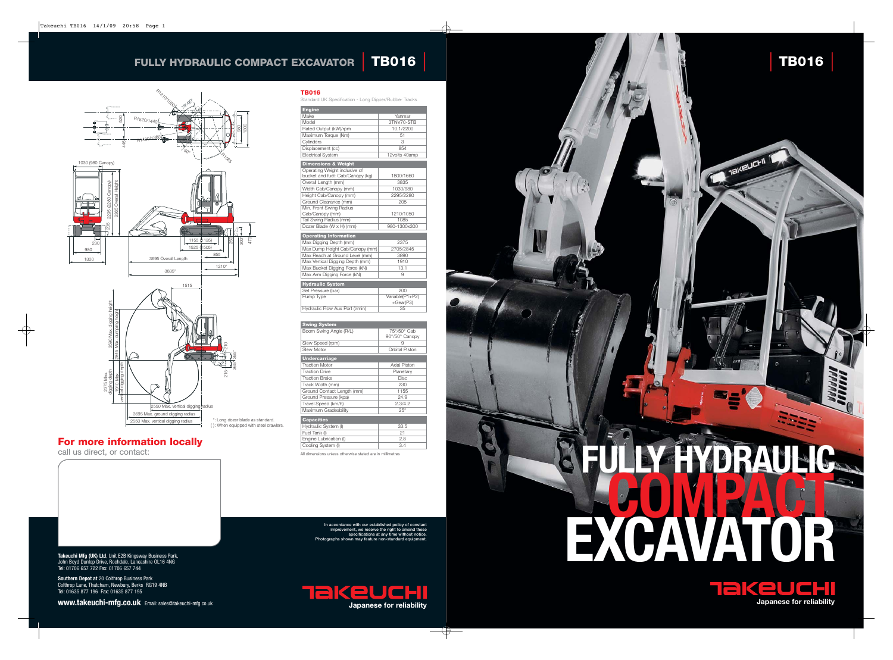

**Takeuchi Mfg (UK) Ltd**, Unit E2B Kingsway Business Park, John Boyd Dunlop Drive, Rochdale, Lancashire OL16 4NG Tel: 01706 657 722 Fax: 01706 657 744

**Southern Depot at** 20 Colthrop Business Park Colthrop Lane, Thatcham, Newbury, Berks RG19 4NB Tel: 01635 877 196 Fax: 01635 877 195

**www.takeuchi-mfg.co.uk** Email: sales@takeuchi-mfg.co.uk

### **Engine** Yanmar Model 3TNV70-STB Rated Output (kW)/rpm 10.1/2200 Maximum Torque (Nm) 61 Cylinders 3 Displacement (cc) 854<br>
Electrical System 12volts 40amp **Electrical System Dimensions & Weight** Operating Weight inclusive of bucket and fuel: Cab/Canopy (kg) 1800/1660 Overall Length (mm) 3835<br>
Width Cab/Canopy (mm) 1030/980 Width Cab/Canopy (mm) Height Cab/Canopy (mm) 2295/2280<br>Ground Clearance (mm) 205 Ground Clearance (mm) Min. Front Swing Radius | Cab/Canopy (mm) 1210/1050 Tail Swing Radius (mm) 1085<br>Dozer Blade (W x H) (mm) 980-1300x300 Dozer Blade (W x H) (mm) **Operating Inform** Max Digging Depth (mm) 2375 Max Dump Height Cab/Canopy (mm) 2705/2845<br>Max Reach at Ground Level (mm) 3890 Max Reach at Ground Level (mm) 3890<br>Max Vertical Digging Depth (mm) 1910 Max Vertical Digging Depth (mm) 1910<br>Max Bucket Digging Force (kN) 13.1 Max Bucket Digging Force (kN) 13.<br>13.11 Max Arm Digging Force (kN)

**In accordance with our established policy of constant improvement, we reserve the right to amend these s** at any time **Photographs shown may feature non-standard equipment.**

## **For more information locally**

call us direct, or contact:



**TB016** 

Standard UK Specification - Long Dipper/Rubber Tracks

Max Arm Digging Force (kN) **Hydraulic System** Set Pressure (bar) 200<br>
Pump Type Variable(P1  $Variable(P1+P2)$ +Gear(P3) Hydraulic Flow Aux Port (I/min) 35

{ }: When equipped with steel crawlers.





2375 Max. digging depth



| 90°/50° Canopy        |  |  |
|-----------------------|--|--|
|                       |  |  |
|                       |  |  |
|                       |  |  |
| <b>Undercarriage</b>  |  |  |
|                       |  |  |
|                       |  |  |
|                       |  |  |
|                       |  |  |
|                       |  |  |
|                       |  |  |
|                       |  |  |
|                       |  |  |
| <b>Orbital Piston</b> |  |  |

| <b>Capacities</b>      |      |
|------------------------|------|
| Hydraulic System (I)   | 33.5 |
| Fuel Tank (I)          | 21   |
| Engine Lubrication (I) | 28   |
| Cooling System (I)     | 34   |
|                        |      |

All dimensions unless otherwise stated are in millimetres